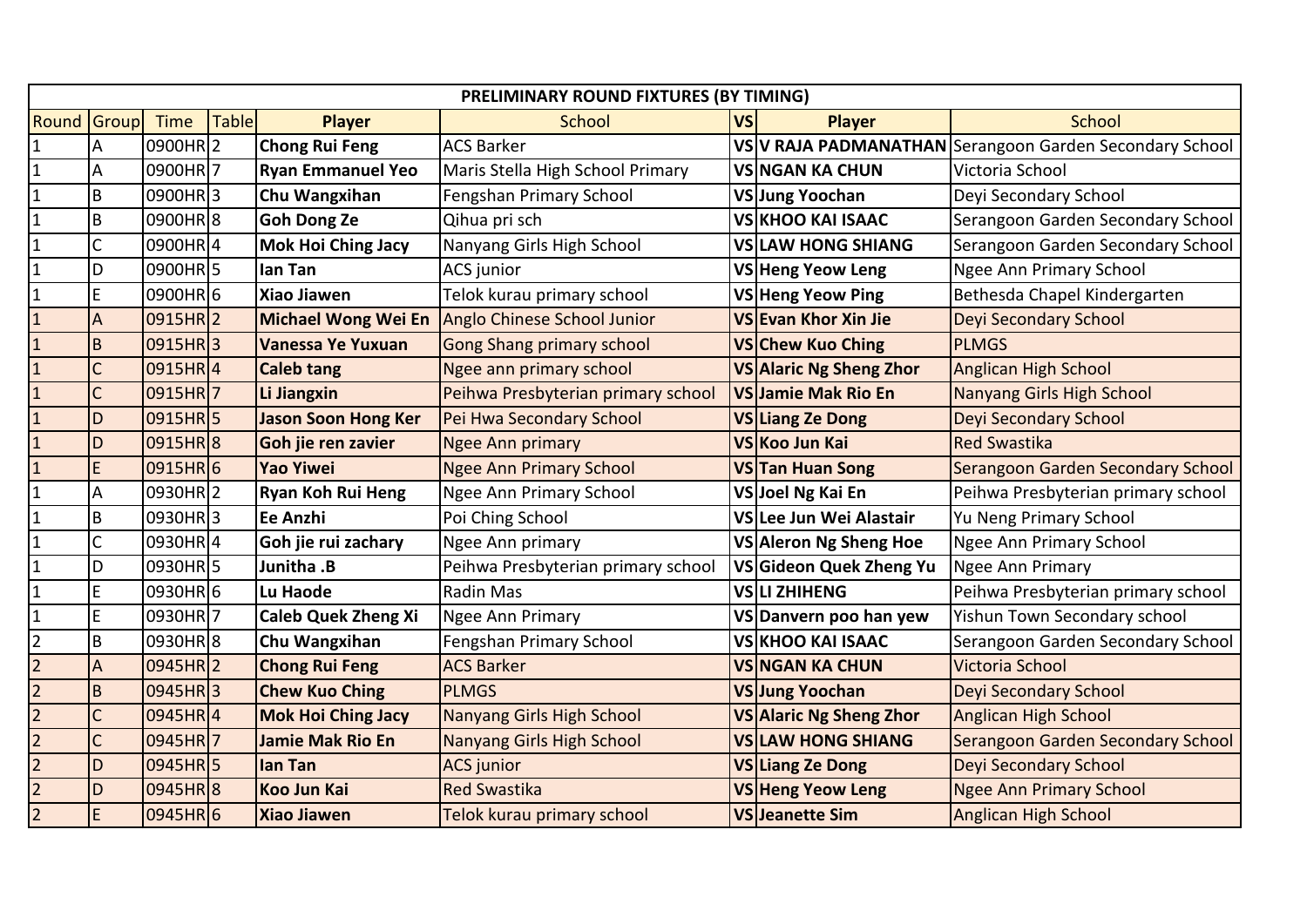|                         | PRELIMINARY ROUND FIXTURES (BY TIMING) |                     |              |                            |                                    |           |                          |                                                         |  |
|-------------------------|----------------------------------------|---------------------|--------------|----------------------------|------------------------------------|-----------|--------------------------|---------------------------------------------------------|--|
| Round                   | Group                                  | <b>Time</b>         | <b>Table</b> | <b>Player</b>              | School                             | <b>VS</b> | <b>Player</b>            | <b>School</b>                                           |  |
| ${\bf 1}$               | А                                      | 0900HR2             |              | <b>Chong Rui Feng</b>      | <b>ACS Barker</b>                  |           |                          | VS V RAJA PADMANATHAN Serangoon Garden Secondary School |  |
| $\mathbf 1$             | A                                      | 0900HR7             |              | <b>Ryan Emmanuel Yeo</b>   | Maris Stella High School Primary   |           | <b>VSINGAN KA CHUN</b>   | Victoria School                                         |  |
| $\mathbf 1$             | B                                      | 0900HR3             |              | Chu Wangxihan              | Fengshan Primary School            |           | VSJung Yoochan           | Deyi Secondary School                                   |  |
| $\mathbf{1}$            | B                                      | 0900HR8             |              | <b>Goh Dong Ze</b>         | Qihua pri sch                      |           | <b>VS KHOO KAI ISAAC</b> | Serangoon Garden Secondary School                       |  |
| $\mathbf 1$             | $\mathsf{C}$                           | 0900HR4             |              | <b>Mok Hoi Ching Jacy</b>  | Nanyang Girls High School          |           | VSLAW HONG SHIANG        | Serangoon Garden Secondary School                       |  |
| $\mathbf{1}$            | D                                      | 0900HR <sub>5</sub> |              | lan Tan                    | ACS junior                         |           | VS Heng Yeow Leng        | <b>Ngee Ann Primary School</b>                          |  |
| $\mathbf 1$             | E                                      | 0900HR6             |              | <b>Xiao Jiawen</b>         | Telok kurau primary school         |           | VS Heng Yeow Ping        | Bethesda Chapel Kindergarten                            |  |
| $\overline{1}$          | A                                      | 0915HR <sub>2</sub> |              | <b>Michael Wong Wei En</b> | Anglo Chinese School Junior        |           | VS Evan Khor Xin Jie     | <b>Deyi Secondary School</b>                            |  |
| $\overline{1}$          | $\sf{B}$                               | 0915HR3             |              | Vanessa Ye Yuxuan          | <b>Gong Shang primary school</b>   |           | VS Chew Kuo Ching        | <b>PLMGS</b>                                            |  |
| $\overline{\mathbf{1}}$ | C                                      | 0915HR4             |              | <b>Caleb tang</b>          | Ngee ann primary school            |           | VS Alaric Ng Sheng Zhor  | Anglican High School                                    |  |
| $\mathbf{1}$            | $\mathsf{C}$                           | 0915HR7             |              | Li Jiangxin                | Peihwa Presbyterian primary school |           | VSJamie Mak Rio En       | Nanyang Girls High School                               |  |
| $\overline{1}$          | D                                      | 0915HR <sub>5</sub> |              | <b>Jason Soon Hong Ker</b> | Pei Hwa Secondary School           |           | <b>VS Liang Ze Dong</b>  | Deyi Secondary School                                   |  |
| $\mathbf{1}$            | D                                      | 0915HR8             |              | Goh jie ren zavier         | <b>Ngee Ann primary</b>            |           | VS Koo Jun Kai           | <b>Red Swastika</b>                                     |  |
| $\overline{1}$          | E.                                     | 0915HR6             |              | <b>Yao Yiwei</b>           | Ngee Ann Primary School            |           | VSTan Huan Song          | Serangoon Garden Secondary School                       |  |
| $\mathbf 1$             | А                                      | 0930HR2             |              | <b>Ryan Koh Rui Heng</b>   | <b>Ngee Ann Primary School</b>     |           | VSJoel Ng Kai En         | Peihwa Presbyterian primary school                      |  |
| $\mathbf{1}$            | B                                      | 0930HR3             |              | Ee Anzhi                   | Poi Ching School                   |           | VS Lee Jun Wei Alastair  | Yu Neng Primary School                                  |  |
| ${\bf 1}$               | Ċ                                      | 0930HR4             |              | Goh jie rui zachary        | Ngee Ann primary                   |           | VS Aleron Ng Sheng Hoe   | <b>Ngee Ann Primary School</b>                          |  |
| $\mathbf{1}$            | D                                      | 0930HR5             |              | Junitha .B                 | Peihwa Presbyterian primary school |           | VS Gideon Quek Zheng Yu  | Ngee Ann Primary                                        |  |
| $\mathbf 1$             | $\mathsf E$                            | 0930HR6             |              | Lu Haode                   | Radin Mas                          |           | <b>VSILI ZHIHENG</b>     | Peihwa Presbyterian primary school                      |  |
| $\mathbf{1}$            | E                                      | 0930HR7             |              | <b>Caleb Quek Zheng Xi</b> | Ngee Ann Primary                   |           | VS Danvern poo han yew   | Yishun Town Secondary school                            |  |
| $\overline{c}$          | B                                      | 0930HR8             |              | Chu Wangxihan              | Fengshan Primary School            |           | VS KHOO KAI ISAAC        | Serangoon Garden Secondary School                       |  |
| $\overline{2}$          | $\mathsf{A}$                           | 0945HR <sub>2</sub> |              | <b>Chong Rui Feng</b>      | <b>ACS Barker</b>                  |           | <b>VS NGAN KA CHUN</b>   | Victoria School                                         |  |
| $\overline{2}$          | $\sf{B}$                               | $0945HR$ 3          |              | <b>Chew Kuo Ching</b>      | <b>PLMGS</b>                       |           | VS Jung Yoochan          | Deyi Secondary School                                   |  |
| $\overline{2}$          | C                                      | 0945HR4             |              | <b>Mok Hoi Ching Jacy</b>  | Nanyang Girls High School          |           | VS Alaric Ng Sheng Zhor  | <b>Anglican High School</b>                             |  |
| $\overline{2}$          | $\mathsf{C}$                           | 0945HR7             |              | <b>Jamie Mak Rio En</b>    | Nanyang Girls High School          |           | <b>VSLAW HONG SHIANG</b> | Serangoon Garden Secondary School                       |  |
| $\overline{2}$          | D                                      | 0945HR <sub>5</sub> |              | lan Tan                    | <b>ACS</b> junior                  |           | <b>VS Liang Ze Dong</b>  | <b>Deyi Secondary School</b>                            |  |
| $\overline{2}$          | D                                      | 0945HR 8            |              | <b>Koo Jun Kai</b>         | <b>Red Swastika</b>                |           | <b>VS Heng Yeow Leng</b> | <b>Ngee Ann Primary School</b>                          |  |
| $\overline{2}$          | $\mathsf E$                            | 0945HR6             |              | <b>Xiao Jiawen</b>         | Telok kurau primary school         |           | VSJeanette Sim           | <b>Anglican High School</b>                             |  |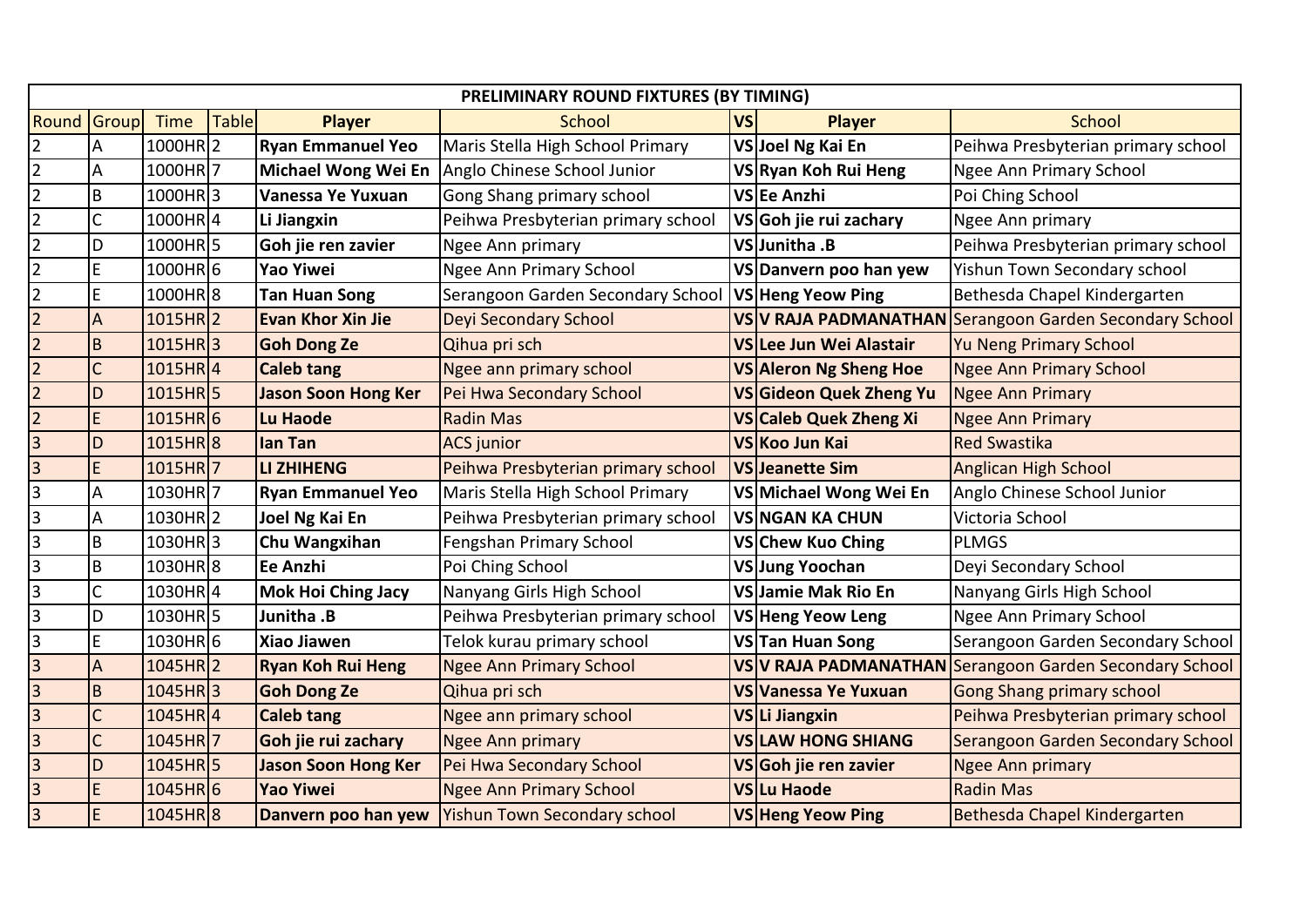|                         | PRELIMINARY ROUND FIXTURES (BY TIMING) |                       |              |                            |                                                    |           |                          |                                                         |  |  |
|-------------------------|----------------------------------------|-----------------------|--------------|----------------------------|----------------------------------------------------|-----------|--------------------------|---------------------------------------------------------|--|--|
| Round                   | Group                                  | <b>Time</b>           | <b>Table</b> | <b>Player</b>              | School                                             | <b>VS</b> | <b>Player</b>            | <b>School</b>                                           |  |  |
| $\overline{2}$          | Α                                      | 1000HR2               |              | <b>Ryan Emmanuel Yeo</b>   | Maris Stella High School Primary                   |           | VSJoel Ng Kai En         | Peihwa Presbyterian primary school                      |  |  |
| $\overline{2}$          | A                                      | 1000HR7               |              | Michael Wong Wei En        | Anglo Chinese School Junior                        |           | VSRyan Koh Rui Heng      | <b>Ngee Ann Primary School</b>                          |  |  |
| $\overline{2}$          | $\sf B$                                | 1000HR3               |              | Vanessa Ye Yuxuan          | Gong Shang primary school                          |           | VSEe Anzhi               | Poi Ching School                                        |  |  |
| $\overline{2}$          | C                                      | 1000HR4               |              | Li Jiangxin                | Peihwa Presbyterian primary school                 |           | VSGoh jie rui zachary    | Ngee Ann primary                                        |  |  |
| $\overline{2}$          | D                                      | 1000HR5               |              | Goh jie ren zavier         | Ngee Ann primary                                   |           | VSJunitha .B             | Peihwa Presbyterian primary school                      |  |  |
| $\overline{2}$          | E                                      | 1000HR6               |              | <b>Yao Yiwei</b>           | <b>Ngee Ann Primary School</b>                     |           | VS Danvern poo han yew   | Yishun Town Secondary school                            |  |  |
| $\overline{2}$          | $\mathsf E$                            | 1000HR8               |              | <b>Tan Huan Song</b>       | Serangoon Garden Secondary School                  |           | VS Heng Yeow Ping        | Bethesda Chapel Kindergarten                            |  |  |
| $\overline{2}$          | A                                      | 1015HR <sub>2</sub>   |              | <b>Evan Khor Xin Jie</b>   | <b>Deyi Secondary School</b>                       |           |                          | VS V RAJA PADMANATHAN Serangoon Garden Secondary School |  |  |
| $\overline{2}$          | $\mathsf B$                            | $1015HR$ 3            |              | <b>Goh Dong Ze</b>         | Qihua pri sch                                      |           | VS Lee Jun Wei Alastair  | <b>Yu Neng Primary School</b>                           |  |  |
| $\overline{2}$          | $\overline{C}$                         | $1015HR$ <sup>4</sup> |              | <b>Caleb tang</b>          | Ngee ann primary school                            |           | VS Aleron Ng Sheng Hoe   | <b>Ngee Ann Primary School</b>                          |  |  |
| $\overline{2}$          | D                                      | 1015HR <sub>5</sub>   |              | <b>Jason Soon Hong Ker</b> | Pei Hwa Secondary School                           |           | VSGideon Quek Zheng Yu   | Ngee Ann Primary                                        |  |  |
| $\overline{2}$          | $\mathsf E$                            | $1015HR$ 6            |              | Lu Haode                   | <b>Radin Mas</b>                                   |           | VS Caleb Quek Zheng Xi   | <b>Ngee Ann Primary</b>                                 |  |  |
| $\overline{3}$          | D                                      | 1015HR8               |              | lan Tan                    | <b>ACS</b> junior                                  |           | VS Koo Jun Kai           | <b>Red Swastika</b>                                     |  |  |
| $\overline{a}$          | $\mathsf E$                            | 1015HR7               |              | <b>LI ZHIHENG</b>          | Peihwa Presbyterian primary school                 |           | <b>VS Jeanette Sim</b>   | <b>Anglican High School</b>                             |  |  |
| ာ                       | A                                      | 1030HR7               |              | <b>Ryan Emmanuel Yeo</b>   | Maris Stella High School Primary                   |           | VS Michael Wong Wei En   | Anglo Chinese School Junior                             |  |  |
| $\overline{\mathsf{B}}$ | A                                      | 1030HR2               |              | Joel Ng Kai En             | Peihwa Presbyterian primary school                 |           | <b>VSINGAN KA CHUN</b>   | Victoria School                                         |  |  |
| $\overline{\mathbf{3}}$ | $\sf B$                                | 1030HR3               |              | Chu Wangxihan              | Fengshan Primary School                            |           | VS Chew Kuo Ching        | <b>PLMGS</b>                                            |  |  |
| $\overline{3}$          | $\mathsf B$                            | 1030HR8               |              | Ee Anzhi                   | Poi Ching School                                   |           | VSJung Yoochan           | Deyi Secondary School                                   |  |  |
| $\overline{3}$          | C                                      | 1030HR4               |              | <b>Mok Hoi Ching Jacy</b>  | Nanyang Girls High School                          |           | VSJamie Mak Rio En       | Nanyang Girls High School                               |  |  |
| $\overline{3}$          | D                                      | 1030HR5               |              | Junitha .B                 | Peihwa Presbyterian primary school                 |           | VS Heng Yeow Leng        | <b>Ngee Ann Primary School</b>                          |  |  |
| $\overline{\mathbf{3}}$ | $\mathsf E$                            | 1030HR6               |              | Xiao Jiawen                | Telok kurau primary school                         |           | VSTan Huan Song          | Serangoon Garden Secondary School                       |  |  |
| $\overline{3}$          | A                                      | $1045HR$ <sub>2</sub> |              | <b>Ryan Koh Rui Heng</b>   | <b>Ngee Ann Primary School</b>                     |           |                          | VS V RAJA PADMANATHAN Serangoon Garden Secondary School |  |  |
| S)                      | B                                      | $1045HR$ 3            |              | <b>Goh Dong Ze</b>         | Qihua pri sch                                      |           | VS Vanessa Ye Yuxuan     | <b>Gong Shang primary school</b>                        |  |  |
| $\overline{3}$          | $\mathsf{C}$                           | 1045HR4               |              | <b>Caleb tang</b>          | Ngee ann primary school                            |           | VSLi Jiangxin            | Peihwa Presbyterian primary school                      |  |  |
| $\overline{3}$          | $\overline{C}$                         | 1045HR7               |              | Goh jie rui zachary        | <b>Ngee Ann primary</b>                            |           | <b>VSLAW HONG SHIANG</b> | Serangoon Garden Secondary School                       |  |  |
| က က                     | D                                      | $1045HR$ 5            |              | <b>Jason Soon Hong Ker</b> | Pei Hwa Secondary School                           |           | VSGoh jie ren zavier     | <b>Ngee Ann primary</b>                                 |  |  |
|                         | $\mathsf E$                            | $1045HR$ 6            |              | <b>Yao Yiwei</b>           | <b>Ngee Ann Primary School</b>                     |           | VS Lu Haode              | <b>Radin Mas</b>                                        |  |  |
| $\overline{a}$          | $\mathsf E$                            | 1045HR <sup>8</sup>   |              |                            | Danvern poo han yew   Yishun Town Secondary school |           | VS Heng Yeow Ping        | Bethesda Chapel Kindergarten                            |  |  |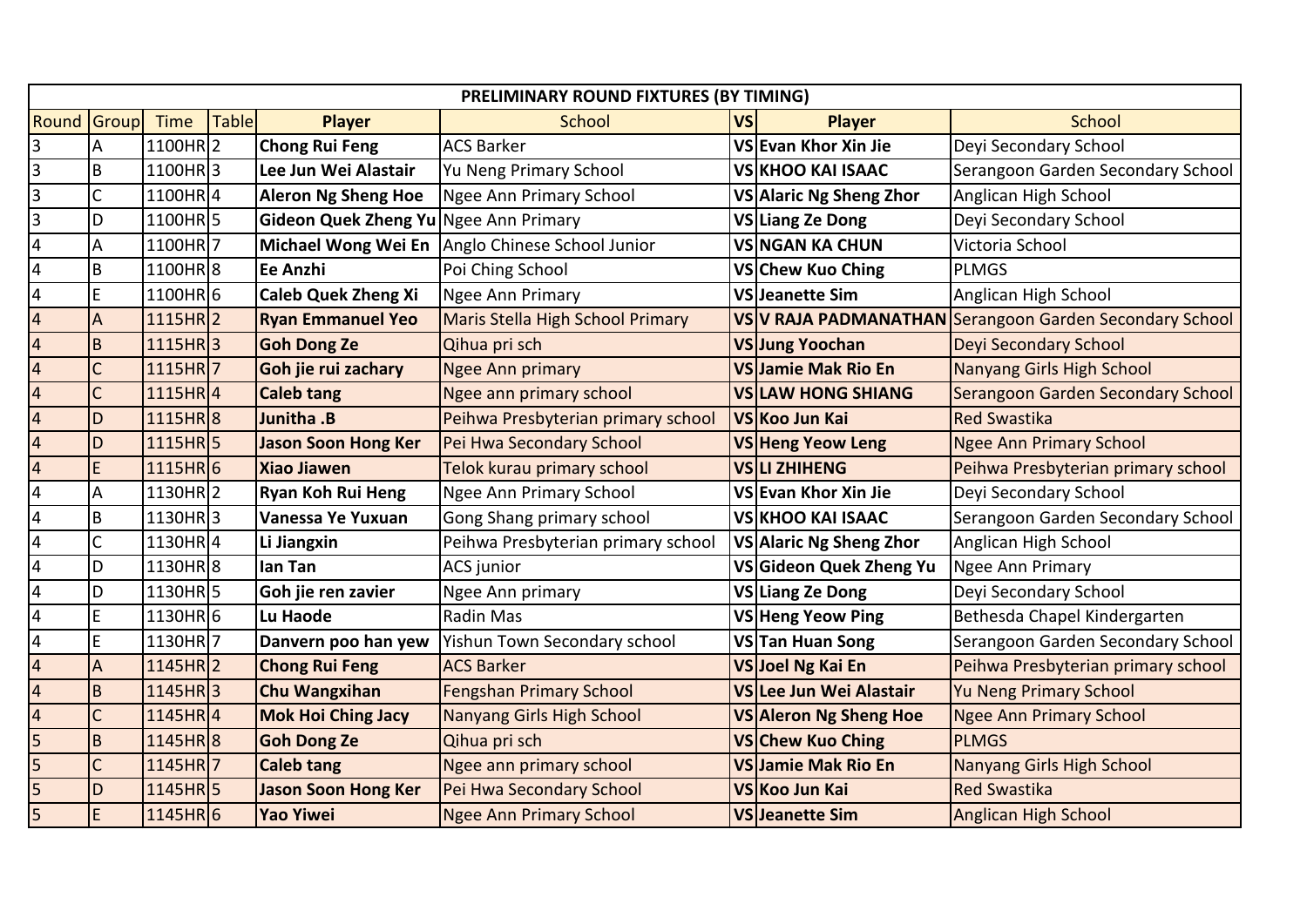| PRELIMINARY ROUND FIXTURES (BY TIMING)<br><b>Round Group</b> |                       |              |                                       |                                                    |           |                           |                                                         |  |  |
|--------------------------------------------------------------|-----------------------|--------------|---------------------------------------|----------------------------------------------------|-----------|---------------------------|---------------------------------------------------------|--|--|
|                                                              | <b>Time</b>           | <b>Table</b> | <b>Player</b>                         | School                                             | <b>VS</b> | <b>Player</b>             | School                                                  |  |  |
| A                                                            | 1100HR2               |              | <b>Chong Rui Feng</b>                 | <b>ACS Barker</b>                                  |           | VS Evan Khor Xin Jie      | Deyi Secondary School                                   |  |  |
| B                                                            | 1100HR3               |              | Lee Jun Wei Alastair                  | Yu Neng Primary School                             |           | <b>VS KHOO KAI ISAAC</b>  | Serangoon Garden Secondary School                       |  |  |
| Ċ                                                            | 1100HR4               |              | <b>Aleron Ng Sheng Hoe</b>            | Ngee Ann Primary School                            |           | VS Alaric Ng Sheng Zhor   | Anglican High School                                    |  |  |
| D                                                            | 1100HR5               |              | Gideon Quek Zheng Yu Ngee Ann Primary |                                                    |           | VS Liang Ze Dong          | Deyi Secondary School                                   |  |  |
| Α                                                            | 1100HR7               |              |                                       | Michael Wong Wei En Anglo Chinese School Junior    |           | <b>VSINGAN KA CHUN</b>    | Victoria School                                         |  |  |
| B                                                            | 1100HR8               |              | Ee Anzhi                              | Poi Ching School                                   |           | VSChew Kuo Ching          | <b>PLMGS</b>                                            |  |  |
| E                                                            | 1100HR6               |              | <b>Caleb Quek Zheng Xi</b>            | <b>Ngee Ann Primary</b>                            |           | VSJeanette Sim            | Anglican High School                                    |  |  |
| $\boldsymbol{\mathsf{A}}$                                    | $1115HR$ <sub>2</sub> |              | <b>Ryan Emmanuel Yeo</b>              | Maris Stella High School Primary                   |           |                           | VS V RAJA PADMANATHAN Serangoon Garden Secondary School |  |  |
| $\overline{B}$                                               | $1115HR$ <sup>3</sup> |              | <b>Goh Dong Ze</b>                    | Qihua pri sch                                      |           | VSJung Yoochan            | Deyi Secondary School                                   |  |  |
| C                                                            | 1115HR7               |              | Goh jie rui zachary                   | Ngee Ann primary                                   |           | VS Jamie Mak Rio En       | Nanyang Girls High School                               |  |  |
| C                                                            | 1115HR4               |              | <b>Caleb tang</b>                     | Ngee ann primary school                            |           | <b>VSILAW HONG SHIANG</b> | Serangoon Garden Secondary School                       |  |  |
| D                                                            | 1115HR8               |              | Junitha .B                            | Peihwa Presbyterian primary school                 |           | VS Koo Jun Kai            | <b>Red Swastika</b>                                     |  |  |
| D                                                            | $1115HR$ 5            |              | <b>Jason Soon Hong Ker</b>            | Pei Hwa Secondary School                           |           | VS Heng Yeow Leng         | <b>Ngee Ann Primary School</b>                          |  |  |
| E                                                            | $1115HR$ 6            |              | <b>Xiao Jiawen</b>                    | Telok kurau primary school                         |           | <b>VSLI ZHIHENG</b>       | Peihwa Presbyterian primary school                      |  |  |
| A                                                            | 1130HR <sub>2</sub>   |              | <b>Ryan Koh Rui Heng</b>              | <b>Ngee Ann Primary School</b>                     |           | VS Evan Khor Xin Jie      | Deyi Secondary School                                   |  |  |
| B                                                            | $1130HR$ 3            |              | Vanessa Ye Yuxuan                     | Gong Shang primary school                          |           | <b>VS KHOO KAI ISAAC</b>  | Serangoon Garden Secondary School                       |  |  |
| $\mathsf{C}$                                                 | 1130HR4               |              | Li Jiangxin                           | Peihwa Presbyterian primary school                 |           | VS Alaric Ng Sheng Zhor   | Anglican High School                                    |  |  |
| D                                                            | 1130HR8               |              | lan Tan                               | <b>ACS</b> junior                                  |           | VSGideon Quek Zheng Yu    | Ngee Ann Primary                                        |  |  |
| D                                                            | 1130HR5               |              | Goh jie ren zavier                    | Ngee Ann primary                                   |           | VS Liang Ze Dong          | Deyi Secondary School                                   |  |  |
| E                                                            | 1130HR6               |              | Lu Haode                              | Radin Mas                                          |           | VS Heng Yeow Ping         | Bethesda Chapel Kindergarten                            |  |  |
| $\mathsf E$                                                  | 1130HR7               |              |                                       | Danvern poo han yew   Yishun Town Secondary school |           | VSTan Huan Song           | Serangoon Garden Secondary School                       |  |  |
| $\overline{A}$                                               | $1145HR$ <sub>2</sub> |              | <b>Chong Rui Feng</b>                 | <b>ACS Barker</b>                                  |           | VSJoel Ng Kai En          | Peihwa Presbyterian primary school                      |  |  |
| B                                                            | $1145HR$ 3            |              | <b>Chu Wangxihan</b>                  | <b>Fengshan Primary School</b>                     |           | VSLee Jun Wei Alastair    | <b>Yu Neng Primary School</b>                           |  |  |
| C                                                            | $1145HR$ <sub>4</sub> |              | <b>Mok Hoi Ching Jacy</b>             | Nanyang Girls High School                          |           | VS Aleron Ng Sheng Hoe    | <b>Ngee Ann Primary School</b>                          |  |  |
| $\sf B$                                                      | 1145HR <sup>8</sup>   |              | <b>Goh Dong Ze</b>                    | Qihua pri sch                                      |           | VS Chew Kuo Ching         | <b>PLMGS</b>                                            |  |  |
| C                                                            | 1145HR7               |              | <b>Caleb tang</b>                     | Ngee ann primary school                            |           | VS Jamie Mak Rio En       | Nanyang Girls High School                               |  |  |
| D                                                            | $1145HR$ 5            |              | <b>Jason Soon Hong Ker</b>            | Pei Hwa Secondary School                           |           | VS Koo Jun Kai            | <b>Red Swastika</b>                                     |  |  |
| E                                                            | $1145HR$ 6            |              | <b>Yao Yiwei</b>                      | <b>Ngee Ann Primary School</b>                     |           | VS Jeanette Sim           | <b>Anglican High School</b>                             |  |  |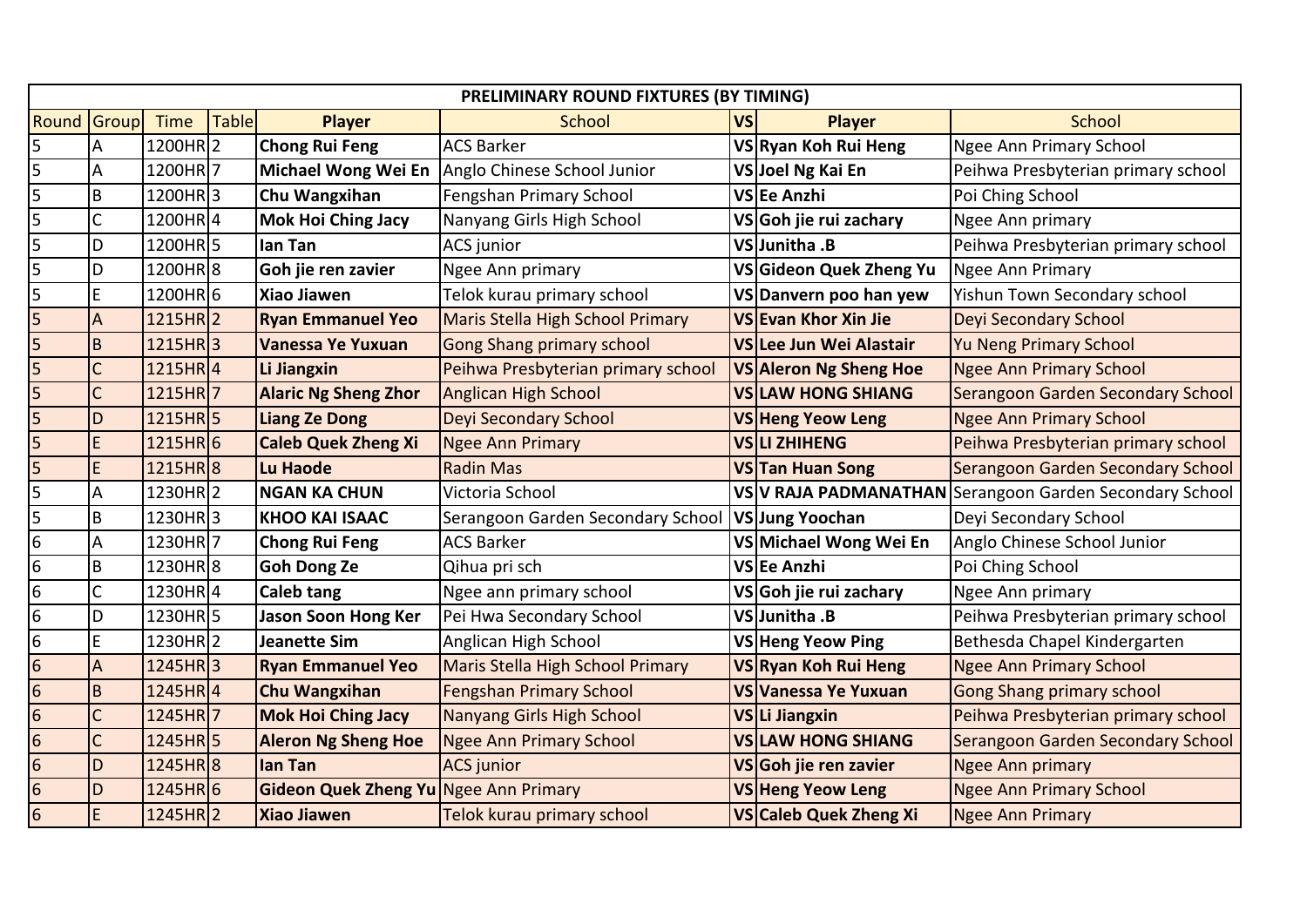|                         | PRELIMINARY ROUND FIXTURES (BY TIMING) |                       |       |                                       |                                                 |           |                               |                                                         |  |  |
|-------------------------|----------------------------------------|-----------------------|-------|---------------------------------------|-------------------------------------------------|-----------|-------------------------------|---------------------------------------------------------|--|--|
| Round                   | Group                                  | Time                  | Table | <b>Player</b>                         | School                                          | <b>VS</b> | <b>Player</b>                 | <b>School</b>                                           |  |  |
| 5                       | A                                      | 1200HR2               |       | <b>Chong Rui Feng</b>                 | <b>ACS Barker</b>                               |           | VSRyan Koh Rui Heng           | <b>Ngee Ann Primary School</b>                          |  |  |
| $\overline{5}$          | A                                      | 1200HR7               |       |                                       | Michael Wong Wei En Anglo Chinese School Junior |           | VSJoel Ng Kai En              | Peihwa Presbyterian primary school                      |  |  |
| $\overline{\mathbf{5}}$ | $\mathsf B$                            | 1200HR3               |       | Chu Wangxihan                         | Fengshan Primary School                         |           | VSEe Anzhi                    | Poi Ching School                                        |  |  |
| 5                       | C                                      | 1200HR4               |       | <b>Mok Hoi Ching Jacy</b>             | Nanyang Girls High School                       |           | VSGoh jie rui zachary         | Ngee Ann primary                                        |  |  |
| $\overline{\mathbf{5}}$ | D                                      | 1200HR <sub>5</sub>   |       | lan Tan                               | <b>ACS</b> junior                               |           | VSJunitha .B                  | Peihwa Presbyterian primary school                      |  |  |
| 5                       | D                                      | 1200HR8               |       | Goh jie ren zavier                    | Ngee Ann primary                                |           | VS Gideon Quek Zheng Yu       | Ngee Ann Primary                                        |  |  |
| 5                       | $\mathsf E$                            | 1200HR6               |       | <b>Xiao Jiawen</b>                    | Telok kurau primary school                      |           | VS Danvern poo han yew        | Yishun Town Secondary school                            |  |  |
| 5                       | A                                      | 1215HR <sub>2</sub>   |       | <b>Ryan Emmanuel Yeo</b>              | Maris Stella High School Primary                |           | VS Evan Khor Xin Jie          | Deyi Secondary School                                   |  |  |
| $\overline{\mathbf{5}}$ | $\overline{B}$                         | 1215HR3               |       | Vanessa Ye Yuxuan                     | <b>Gong Shang primary school</b>                |           | VS Lee Jun Wei Alastair       | <b>Yu Neng Primary School</b>                           |  |  |
| $\overline{\mathbf{5}}$ | $\overline{C}$                         | $1215HR$ <sup>4</sup> |       | Li Jiangxin                           | Peihwa Presbyterian primary school              |           | <b>VS Aleron Ng Sheng Hoe</b> | <b>Ngee Ann Primary School</b>                          |  |  |
| $\overline{5}$          | $\mathsf{C}$                           | 1215HR 7              |       | <b>Alaric Ng Sheng Zhor</b>           | <b>Anglican High School</b>                     |           | <b>VSILAW HONG SHIANG</b>     | Serangoon Garden Secondary School                       |  |  |
| $\overline{5}$          | D                                      | 1215HR 5              |       | <b>Liang Ze Dong</b>                  | Deyi Secondary School                           |           | <b>VS Heng Yeow Leng</b>      | <b>Ngee Ann Primary School</b>                          |  |  |
| $\overline{5}$          | E                                      | 1215HR6               |       | <b>Caleb Quek Zheng Xi</b>            | <b>Ngee Ann Primary</b>                         |           | <b>VSLI ZHIHENG</b>           | Peihwa Presbyterian primary school                      |  |  |
| $\overline{\mathbf{5}}$ | E                                      | 1215HR8               |       | Lu Haode                              | <b>Radin Mas</b>                                |           | <b>VSTan Huan Song</b>        | Serangoon Garden Secondary School                       |  |  |
| 5                       | A                                      | 1230HR <sub>2</sub>   |       | <b>NGAN KA CHUN</b>                   | Victoria School                                 |           |                               | VS V RAJA PADMANATHAN Serangoon Garden Secondary School |  |  |
| $\overline{a}$          | $\mathsf B$                            | 1230HR3               |       | <b>KHOO KAI ISAAC</b>                 | Serangoon Garden Secondary School               |           | VS Jung Yoochan               | Deyi Secondary School                                   |  |  |
| $\sigma$                | A                                      | 1230HR7               |       | <b>Chong Rui Feng</b>                 | <b>ACS Barker</b>                               |           | VSMichael Wong Wei En         | Anglo Chinese School Junior                             |  |  |
| $\overline{6}$          | $\sf B$                                | 1230HR8               |       | <b>Goh Dong Ze</b>                    | Qihua pri sch                                   |           | VSEe Anzhi                    | Poi Ching School                                        |  |  |
| $\overline{6}$          | C                                      | 1230HR4               |       | Caleb tang                            | Ngee ann primary school                         |           | VS Goh jie rui zachary        | Ngee Ann primary                                        |  |  |
| $\overline{6}$          | D                                      | 1230HR <sub>5</sub>   |       | <b>Jason Soon Hong Ker</b>            | Pei Hwa Secondary School                        |           | VSJunitha .B                  | Peihwa Presbyterian primary school                      |  |  |
| $\frac{1}{2}$           | E                                      | 1230HR2               |       | <b>Jeanette Sim</b>                   | Anglican High School                            |           | VS Heng Yeow Ping             | Bethesda Chapel Kindergarten                            |  |  |
|                         | A                                      | $1245HR$ 3            |       | <b>Ryan Emmanuel Yeo</b>              | Maris Stella High School Primary                |           | VS Ryan Koh Rui Heng          | <b>Ngee Ann Primary School</b>                          |  |  |
|                         | $\overline{B}$                         | $1245HR$ <sub>4</sub> |       | <b>Chu Wangxihan</b>                  | <b>Fengshan Primary School</b>                  |           | <b>VS Vanessa Ye Yuxuan</b>   | <b>Gong Shang primary school</b>                        |  |  |
|                         | $\mathsf{C}$                           | 1245HR7               |       | <b>Mok Hoi Ching Jacy</b>             | Nanyang Girls High School                       |           | VSLi Jiangxin                 | Peihwa Presbyterian primary school                      |  |  |
|                         | $\overline{C}$                         | 1245HR <sub>5</sub>   |       | <b>Aleron Ng Sheng Hoe</b>            | <b>Ngee Ann Primary School</b>                  |           | <b>VS LAW HONG SHIANG</b>     | <b>Serangoon Garden Secondary School</b>                |  |  |
| $\frac{6}{6}$           | D                                      | $1245HR$ 8            |       | lan Tan                               | <b>ACS</b> junior                               |           | VSGoh jie ren zavier          | <b>Ngee Ann primary</b>                                 |  |  |
|                         | D                                      | $1245HR$ 6            |       | Gideon Quek Zheng Yu Ngee Ann Primary |                                                 |           | <b>VS Heng Yeow Leng</b>      | <b>Ngee Ann Primary School</b>                          |  |  |
| $\overline{6}$          | $\mathsf E$                            | 1245HR <sub>2</sub>   |       | <b>Xiao Jiawen</b>                    | Telok kurau primary school                      |           | VS Caleb Quek Zheng Xi        | <b>Ngee Ann Primary</b>                                 |  |  |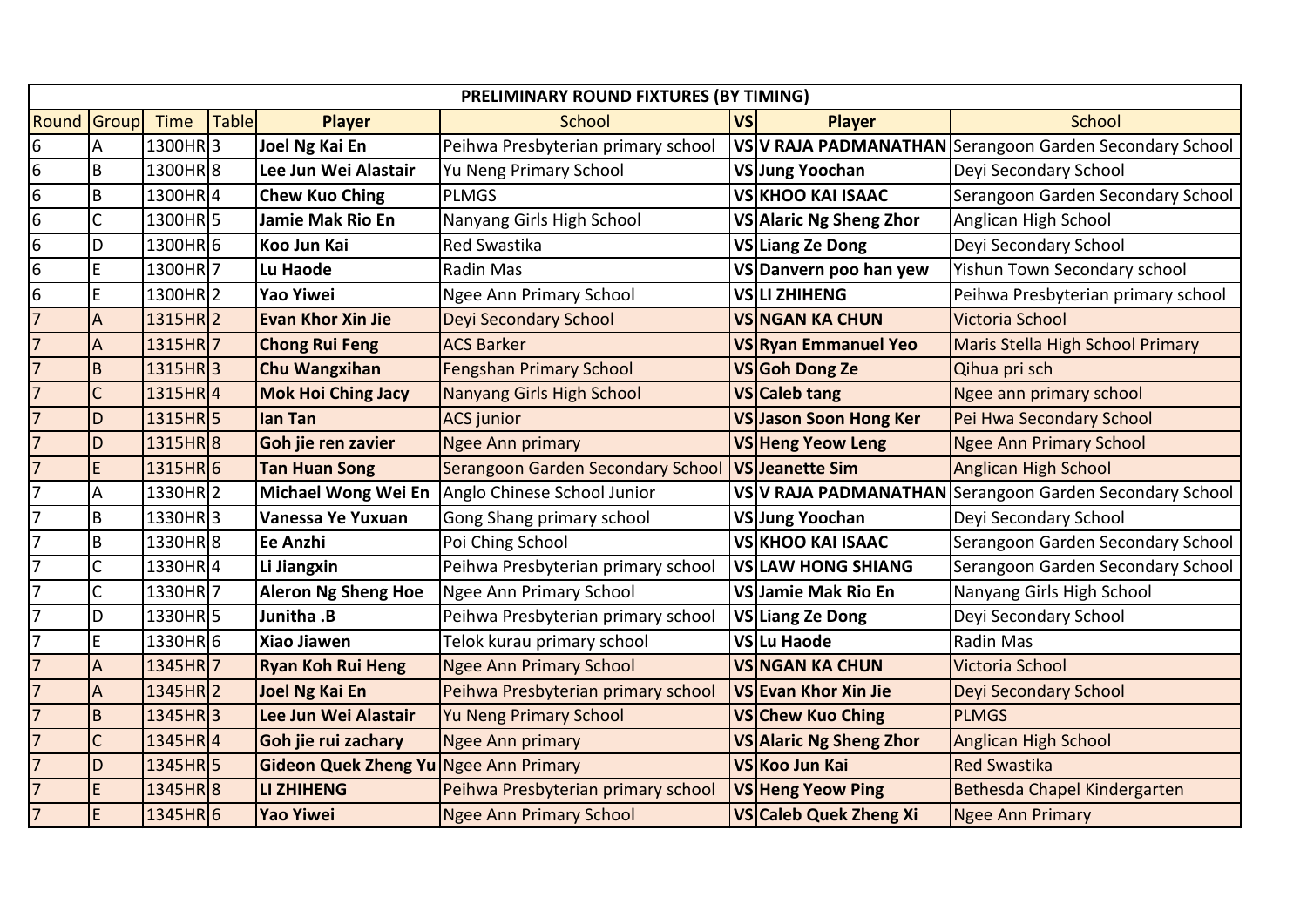|                  | PRELIMINARY ROUND FIXTURES (BY TIMING) |                       |              |                                       |                                    |           |                                |                                                         |  |
|------------------|----------------------------------------|-----------------------|--------------|---------------------------------------|------------------------------------|-----------|--------------------------------|---------------------------------------------------------|--|
| Round            | Group                                  | <b>Time</b>           | <b>Table</b> | <b>Player</b>                         | <b>School</b>                      | <b>VS</b> | <b>Player</b>                  | <b>School</b>                                           |  |
| 6                | А                                      | 1300HR3               |              | <b>Joel Ng Kai En</b>                 | Peihwa Presbyterian primary school |           |                                | VS V RAJA PADMANATHAN Serangoon Garden Secondary School |  |
| $6\phantom{.}6$  | B                                      | 1300HR8               |              | Lee Jun Wei Alastair                  | Yu Neng Primary School             |           | VSJung Yoochan                 | Deyi Secondary School                                   |  |
| $\boldsymbol{6}$ | B                                      | 1300HR4               |              | <b>Chew Kuo Ching</b>                 | <b>PLMGS</b>                       |           | <b>VS</b> KHOO KAI ISAAC       | Serangoon Garden Secondary School                       |  |
| 6                | $\mathsf{C}$                           | 1300HR5               |              | <b>Jamie Mak Rio En</b>               | Nanyang Girls High School          |           | VS Alaric Ng Sheng Zhor        | Anglican High School                                    |  |
| 6                | D                                      | 1300HR6               |              | Koo Jun Kai                           | <b>Red Swastika</b>                |           | VS Liang Ze Dong               | Deyi Secondary School                                   |  |
| $\overline{6}$   | E                                      | 1300HR7               |              | Lu Haode                              | Radin Mas                          |           | VS Danvern poo han yew         | Yishun Town Secondary school                            |  |
| 6                | E                                      | 1300HR2               |              | <b>Yao Yiwei</b>                      | <b>Ngee Ann Primary School</b>     |           | VSLI ZHIHENG                   | Peihwa Presbyterian primary school                      |  |
| $\overline{7}$   | A                                      | $1315HR$ <sub>2</sub> |              | <b>Evan Khor Xin Jie</b>              | Deyi Secondary School              |           | <b>VS NGAN KA CHUN</b>         | Victoria School                                         |  |
| $\overline{7}$   | A                                      | 1315HR7               |              | <b>Chong Rui Feng</b>                 | <b>ACS Barker</b>                  |           | VSRyan Emmanuel Yeo            | Maris Stella High School Primary                        |  |
| $\overline{7}$   | $\sf{B}$                               | 1315HR3               |              | <b>Chu Wangxihan</b>                  | <b>Fengshan Primary School</b>     |           | VSGoh Dong Ze                  | Qihua pri sch                                           |  |
| $\overline{7}$   | $\mathsf{C}$                           | $1315HR$ <sup>4</sup> |              | <b>Mok Hoi Ching Jacy</b>             | Nanyang Girls High School          |           | VS Caleb tang                  | Ngee ann primary school                                 |  |
| $\overline{7}$   | D                                      | 1315HR <sub>5</sub>   |              | lan Tan                               | <b>ACS</b> junior                  |           | VS Jason Soon Hong Ker         | Pei Hwa Secondary School                                |  |
| $\overline{7}$   | D                                      | 1315HR <sub>8</sub>   |              | Goh jie ren zavier                    | <b>Ngee Ann primary</b>            |           | <b>VS Heng Yeow Leng</b>       | <b>Ngee Ann Primary School</b>                          |  |
| $\overline{7}$   | E                                      | 1315HR6               |              | <b>Tan Huan Song</b>                  | Serangoon Garden Secondary School  |           | <b>VS Jeanette Sim</b>         | <b>Anglican High School</b>                             |  |
| 7                | А                                      | 1330HR <sub>2</sub>   |              | Michael Wong Wei En                   | Anglo Chinese School Junior        |           |                                | VS V RAJA PADMANATHAN Serangoon Garden Secondary School |  |
| $\overline{7}$   | B                                      | 1330HR3               |              | Vanessa Ye Yuxuan                     | Gong Shang primary school          |           | VSJung Yoochan                 | Deyi Secondary School                                   |  |
| 7                | B                                      | 1330HR8               |              | Ee Anzhi                              | Poi Ching School                   |           | <b>VS KHOO KAI ISAAC</b>       | Serangoon Garden Secondary School                       |  |
| $\overline{7}$   | C                                      | 1330HR4               |              | Li Jiangxin                           | Peihwa Presbyterian primary school |           | <b>VSILAW HONG SHIANG</b>      | Serangoon Garden Secondary School                       |  |
| 7                | $\mathsf{C}$                           | 1330HR7               |              | <b>Aleron Ng Sheng Hoe</b>            | Ngee Ann Primary School            |           | VS Jamie Mak Rio En            | Nanyang Girls High School                               |  |
| $\overline{7}$   | D                                      | 1330HR5               |              | Junitha .B                            | Peihwa Presbyterian primary school |           | VS Liang Ze Dong               | Deyi Secondary School                                   |  |
| 7                | E                                      | 1330HR6               |              | <b>Xiao Jiawen</b>                    | Telok kurau primary school         |           | VSlLu Haode                    | Radin Mas                                               |  |
| $\overline{7}$   | A                                      | 1345HR7               |              | <b>Ryan Koh Rui Heng</b>              | <b>Ngee Ann Primary School</b>     |           | <b>VS NGAN KA CHUN</b>         | Victoria School                                         |  |
| $\overline{7}$   | A                                      | $1345HR$ <sub>2</sub> |              | <b>Joel Ng Kai En</b>                 | Peihwa Presbyterian primary school |           | VS Evan Khor Xin Jie           | Deyi Secondary School                                   |  |
| $\overline{7}$   | $\sf{B}$                               | 1345HR3               |              | Lee Jun Wei Alastair                  | <b>Yu Neng Primary School</b>      |           | VS Chew Kuo Ching              | <b>PLMGS</b>                                            |  |
| $\overline{7}$   | $\mathsf{C}$                           | $1345HR$ <sup>4</sup> |              | Goh jie rui zachary                   | Ngee Ann primary                   |           | <b>VS Alaric Ng Sheng Zhor</b> | <b>Anglican High School</b>                             |  |
| $\overline{7}$   | D                                      | 1345HR <sub>5</sub>   |              | Gideon Quek Zheng Yu Ngee Ann Primary |                                    |           | VS Koo Jun Kai                 | <b>Red Swastika</b>                                     |  |
| $\overline{7}$   | E                                      | 1345HR 8              |              | <b>LI ZHIHENG</b>                     | Peihwa Presbyterian primary school |           | <b>VS Heng Yeow Ping</b>       | Bethesda Chapel Kindergarten                            |  |
| $\overline{7}$   | $\mathsf E$                            | 1345HR 6              |              | <b>Yao Yiwei</b>                      | <b>Ngee Ann Primary School</b>     |           | VS Caleb Quek Zheng Xi         | <b>Ngee Ann Primary</b>                                 |  |